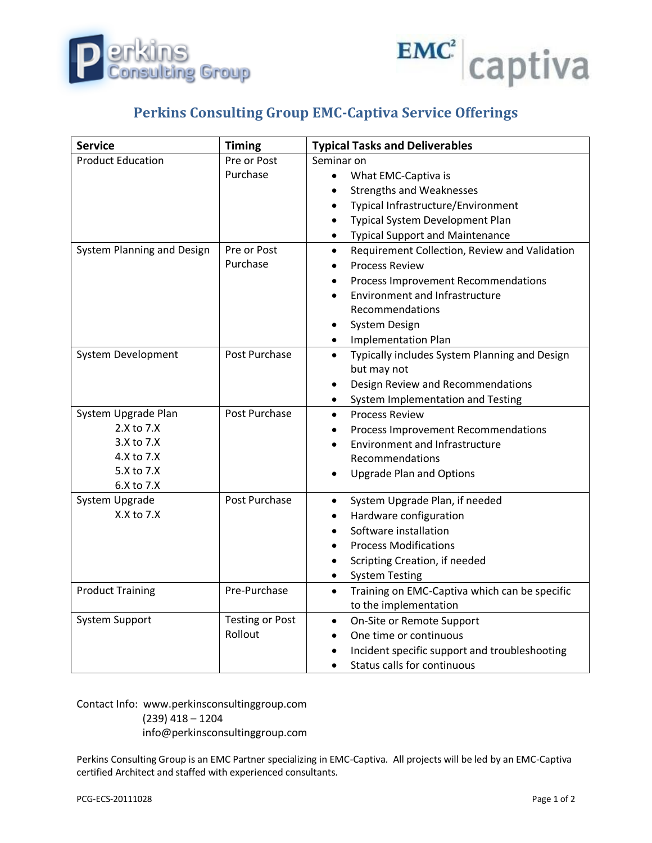



## **Perkins Consulting Group EMC-Captiva Service Offerings**

| <b>Service</b>             | <b>Timing</b>          | <b>Typical Tasks and Deliverables</b>                      |
|----------------------------|------------------------|------------------------------------------------------------|
| <b>Product Education</b>   | Pre or Post            | Seminar on                                                 |
|                            | Purchase               | What EMC-Captiva is<br>$\bullet$                           |
|                            |                        | <b>Strengths and Weaknesses</b><br>$\bullet$               |
|                            |                        | Typical Infrastructure/Environment<br>$\bullet$            |
|                            |                        | Typical System Development Plan<br>$\bullet$               |
|                            |                        | <b>Typical Support and Maintenance</b>                     |
| System Planning and Design | Pre or Post            | Requirement Collection, Review and Validation<br>$\bullet$ |
|                            | Purchase               | <b>Process Review</b>                                      |
|                            |                        | Process Improvement Recommendations                        |
|                            |                        | <b>Environment and Infrastructure</b>                      |
|                            |                        | Recommendations                                            |
|                            |                        | <b>System Design</b>                                       |
|                            |                        | <b>Implementation Plan</b>                                 |
| System Development         | Post Purchase          | Typically includes System Planning and Design<br>$\bullet$ |
|                            |                        | but may not                                                |
|                            |                        | Design Review and Recommendations<br>$\bullet$             |
|                            |                        | System Implementation and Testing                          |
| System Upgrade Plan        | Post Purchase          | <b>Process Review</b><br>$\bullet$                         |
| 2.X to 7.X                 |                        | Process Improvement Recommendations                        |
| $3.X$ to $7.X$             |                        | <b>Environment and Infrastructure</b>                      |
| 4.X to 7.X                 |                        | Recommendations                                            |
| 5.X to 7.X                 |                        | <b>Upgrade Plan and Options</b>                            |
| 6.X to 7.X                 |                        |                                                            |
| System Upgrade             | Post Purchase          | System Upgrade Plan, if needed<br>$\bullet$                |
| X.X to 7.X                 |                        | Hardware configuration                                     |
|                            |                        | Software installation                                      |
|                            |                        | <b>Process Modifications</b>                               |
|                            |                        | Scripting Creation, if needed                              |
|                            |                        | <b>System Testing</b>                                      |
| <b>Product Training</b>    | Pre-Purchase           | Training on EMC-Captiva which can be specific<br>$\bullet$ |
|                            |                        | to the implementation                                      |
| <b>System Support</b>      | <b>Testing or Post</b> | On-Site or Remote Support<br>$\bullet$                     |
|                            | Rollout                | One time or continuous                                     |
|                            |                        | Incident specific support and troubleshooting              |
|                            |                        | Status calls for continuous                                |

Contact Info: www.perkinsconsultinggroup.com (239) 418 – 1204

info@perkinsconsultinggroup.com

Perkins Consulting Group is an EMC Partner specializing in EMC-Captiva. All projects will be led by an EMC-Captiva certified Architect and staffed with experienced consultants.